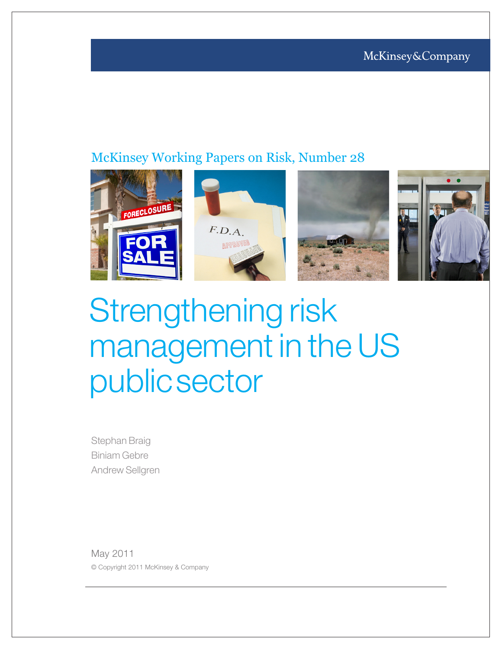### McKinsey Working Papers on Risk, Number 28



# Strengthening risk management in the US publicsector

Stephan Braig Biniam Gebre Andrew Sellgren

May 2011 © Copyright 2011 McKinsey & Company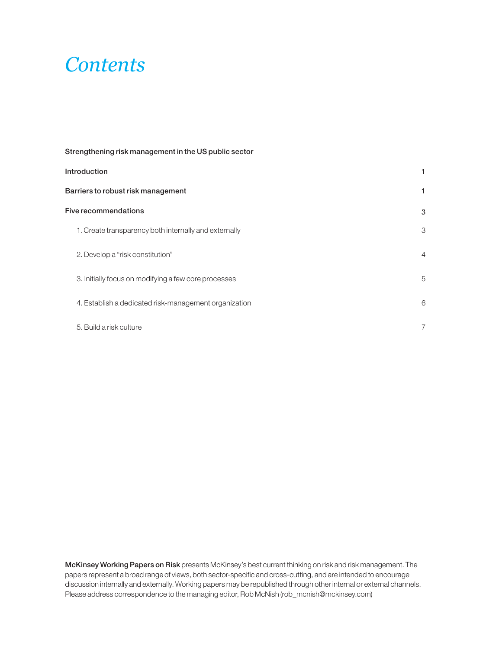### *Contents*

| Strengthening risk management in the US public sector |                |
|-------------------------------------------------------|----------------|
| <b>Introduction</b>                                   |                |
| Barriers to robust risk management                    | 1              |
| Five recommendations                                  | 3              |
| 1. Create transparency both internally and externally | 3              |
| 2. Develop a "risk constitution"                      | $\overline{4}$ |
| 3. Initially focus on modifying a few core processes  | 5              |
| 4. Establish a dedicated risk-management organization | 6              |
| 5. Build a risk culture                               | $\overline{7}$ |

McKinsey Working Papers on Risk presents McKinsey's best current thinking on risk and risk management. The papers represent a broad range of views, both sector-specific and cross-cutting, and are intended to encourage discussion internally and externally. Working papers may be republished through other internal or external channels. Please address correspondence to the managing editor, Rob McNish (rob\_mcnish@mckinsey.com)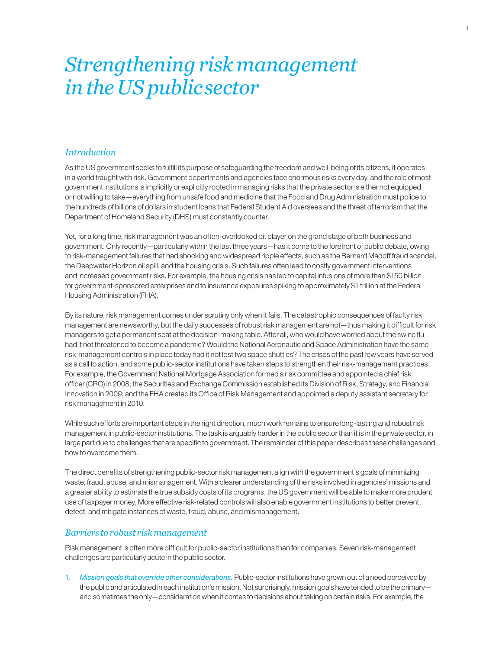### *Strengthening risk management in the US publicsector*

#### *Introduction*

As the US government seeks to fulfill its purpose of safeguarding the freedom and well-being of its citizens, it operates in a world fraught with risk. Government departments and agencies face enormous risks every day, and the role of most government institutions is implicitly or explicitly rooted in managing risks that the private sector is either not equipped or not willing to take—everything from unsafe food and medicine that the Food and Drug Administration must police to the hundreds of billions of dollars in student loans that Federal Student Aid oversees and the threat of terrorism that the Department of Homeland Security (DHS) must constantly counter.

Yet, for a long time, risk management was an often-overlooked bit player on the grand stage of both business and government. Only recently—particularly within the last three years—has it come to the forefront of public debate, owing to risk-management failures that had shocking and widespread ripple effects, such as the Bernard Madoff fraud scandal, the Deepwater Horizon oil spill, and the housing crisis. Such failures often lead to costly government interventions and increased government risks. For example, the housing crisis has led to capital infusions of more than \$150 billion for government-sponsored enterprises and to insurance exposures spiking to approximately \$1 trillion at the Federal Housing Administration (FHA).

By its nature, risk management comes under scrutiny only when it fails. The catastrophic consequences of faulty risk management are newsworthy, but the daily successes of robust risk management are not—thus making it difficult for risk managers to get a permanent seat at the decision-making table. After all, who would have worried about the swine flu had it not threatened to become a pandemic? Would the National Aeronautic and Space Administration have the same risk-management controls in place today had it not lost two space shuttles? The crises of the past few years have served as a call to action, and some public-sector institutions have taken steps to strengthen their risk-management practices. For example, the Government National Mortgage Association formed a risk committee and appointed a chief risk officer (CRO) in 2008; the Securities and Exchange Commission established its Division of Risk, Strategy, and Financial Innovation in 2009; and the FHA created its Office of Risk Management and appointed a deputy assistant secretary for risk management in 2010.

While such efforts are important steps in the right direction, much work remains to ensure long-lasting and robust risk management in public-sector institutions. The task is arguably harder in the public sector than it is in the private sector, in large part due to challenges that are specific to government. The remainder of this paper describes these challenges and how to overcome them.

The direct benefits of strengthening public-sector risk management align with the government's goals of minimizing waste, fraud, abuse, and mismanagement. With a clearer understanding of the risks involved in agencies' missions and a greater ability to estimate the true subsidy costs of its programs, the US government will be able to make more prudent use of taxpayer money. More effective risk-related controls will also enable government institutions to better prevent, detect, and mitigate instances of waste, fraud, abuse, and mismanagement.

#### *Barriers to robust risk management*

Risk management is often more difficult for public-sector institutions than for companies. Seven risk-management challenges are particularly acute in the public sector.

1. *Mission goals that override other considerations.* Public-sector institutions have grown out of a need perceived by the public and articulated in each institution's mission. Not surprisingly, mission goals have tended to be the primary and sometimes the only—consideration when it comes to decisions about taking on certain risks. For example, the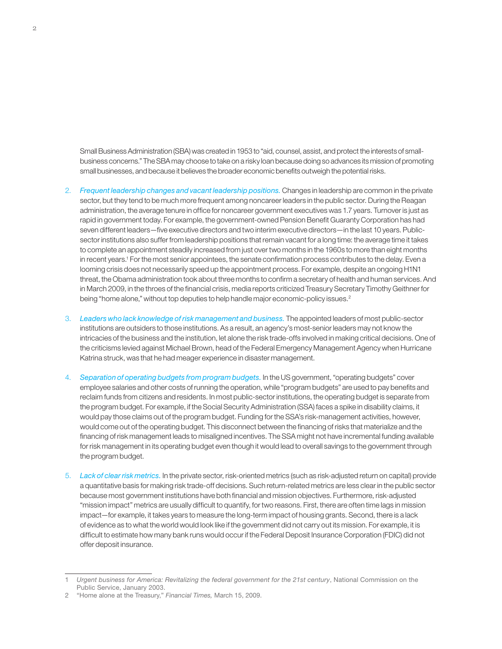Small Business Administration (SBA) was created in 1953 to "aid, counsel, assist, and protect the interests of smallbusiness concerns." The SBA may choose to take on a risky loan because doing so advances its mission of promoting small businesses, and because it believes the broader economic benefits outweigh the potential risks.

- 2. *Frequent leadership changes and vacant leadership positions.* Changes in leadership are common in the private sector, but they tend to be much more frequent among noncareer leaders in the public sector. During the Reagan administration, the average tenure in office for noncareer government executives was 1.7 years. Turnover is just as rapid in government today. For example, the government-owned Pension Benefit Guaranty Corporation has had seven different leaders—five executive directors and two interim executive directors—in the last 10 years. Publicsector institutions also suffer from leadership positions that remain vacant for a long time: the average time it takes to complete an appointment steadily increased from just over two months in the 1960s to more than eight months in recent years.1 For the most senior appointees, the senate confirmation process contributes to the delay. Even a looming crisis does not necessarily speed up the appointment process. For example, despite an ongoing H1N1 threat, the Obama administration took about three months to confirm a secretary of health and human services. And in March 2009, in the throes of the financial crisis, media reports criticized Treasury Secretary Timothy Geithner for being "home alone," without top deputies to help handle major economic-policy issues.<sup>2</sup>
- 3. *Leaders who lack knowledge of risk management and business.* The appointed leaders of most public-sector institutions are outsiders to those institutions. As a result, an agency's most-senior leaders may not know the intricacies of the business and the institution, let alone the risk trade-offs involved in making critical decisions. One of the criticisms levied against Michael Brown, head of the Federal Emergency Management Agency when Hurricane Katrina struck, was that he had meager experience in disaster management.
- 4. *Separation of operating budgets from program budgets.* In the US government, "operating budgets" cover employee salaries and other costs of running the operation, while "program budgets" are used to pay benefits and reclaim funds from citizens and residents. In most public-sector institutions, the operating budget is separate from the program budget. For example, if the Social Security Administration (SSA) faces a spike in disability claims, it would pay those claims out of the program budget. Funding for the SSA's risk-management activities, however, would come out of the operating budget. This disconnect between the financing of risks that materialize and the financing of risk management leads to misaligned incentives. The SSA might not have incremental funding available for risk management in its operating budget even though it would lead to overall savings to the government through the program budget.
- 5. *Lack of clear risk metrics.* In the private sector, risk-oriented metrics (such as risk-adjusted return on capital) provide a quantitative basis for making risk trade-off decisions. Such return-related metrics are less clear in the public sector because most government institutions have both financial and mission objectives. Furthermore, risk-adjusted "mission impact" metrics are usually difficult to quantify, for two reasons. First, there are often time lags in mission impact—for example, it takes years to measure the long-term impact of housing grants. Second, there is a lack of evidence as to what the world would look like if the government did not carry out its mission. For example, it is difficult to estimate how many bank runs would occur if the Federal Deposit Insurance Corporation (FDIC) did not offer deposit insurance.

<sup>1</sup> *Urgent business for America: Revitalizing the federal government for the 21st century*, National Commission on the Public Service, January 2003.

<sup>2</sup> "Home alone at the Treasury," *Financial Times,* March 15, 2009.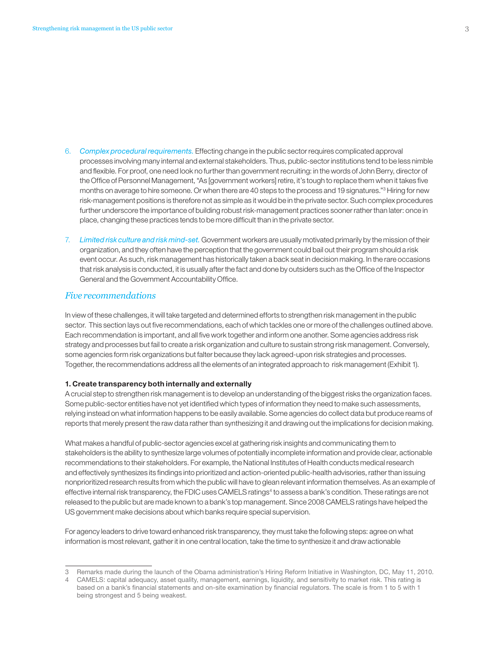- 6. *Complex procedural requirements.* Effecting change in the public sector requires complicated approval processes involving many internal and external stakeholders. Thus, public-sector institutions tend to be less nimble and flexible. For proof, one need look no further than government recruiting: in the words of John Berry, director of the Office of Personnel Management, "As [government workers] retire, it's tough to replace them when it takes five months on average to hire someone. Or when there are 40 steps to the process and 19 signatures."<sup>3</sup> Hiring for new risk-management positions is therefore not as simple as it would be in the private sector. Such complex procedures further underscore the importance of building robust risk-management practices sooner rather than later: once in place, changing these practices tends to be more difficult than in the private sector.
- 7. *Limited risk culture and risk mind-set.* Government workers are usually motivated primarily by the mission of their organization, and they often have the perception that the government could bail out their program should a risk event occur. As such, risk management has historically taken a back seat in decision making. In the rare occasions that risk analysis is conducted, it is usually after the fact and done by outsiders such as the Office of the Inspector General and the Government Accountability Office.

#### *Five recommendations*

In view of these challenges, it will take targeted and determined efforts to strengthen risk management in the public sector. This section lays out five recommendations, each of which tackles one or more of the challenges outlined above. Each recommendation is important, and all five work together and inform one another. Some agencies address risk strategy and processes but fail to create a risk organization and culture to sustain strong risk management. Conversely, some agencies form risk organizations but falter because they lack agreed-upon risk strategies and processes. Together, the recommendations address all the elements of an integrated approach to risk management (Exhibit 1).

#### 1. Create transparency both internally and externally

A crucial step to strengthen risk management is to develop an understanding of the biggest risks the organization faces. Some public-sector entities have not yet identified which types of information they need to make such assessments, relying instead on what information happens to be easily available. Some agencies do collect data but produce reams of reports that merely present the raw data rather than synthesizing it and drawing out the implications for decision making.

What makes a handful of public-sector agencies excel at gathering risk insights and communicating them to stakeholders is the ability to synthesize large volumes of potentially incomplete information and provide clear, actionable recommendations to their stakeholders. For example, the National Institutes of Health conducts medical research and effectively synthesizes its findings into prioritized and action-oriented public-health advisories, rather than issuing nonprioritized research results from which the public will have to glean relevant information themselves. As an example of effective internal risk transparency, the FDIC uses CAMELS ratings<sup>4</sup> to assess a bank's condition. These ratings are not released to the public but are made known to a bank's top management. Since 2008 CAMELS ratings have helped the US government make decisions about which banks require special supervision.

For agency leaders to drive toward enhanced risk transparency, they must take the following steps: agree on what information is most relevant, gather it in one central location, take the time to synthesize it and draw actionable

<sup>3</sup> Remarks made during the launch of the Obama administration's Hiring Reform Initiative in Washington, DC, May 11, 2010.

<sup>4</sup> CAMELS: capital adequacy, asset quality, management, earnings, liquidity, and sensitivity to market risk. This rating is based on a bank's financial statements and on-site examination by financial regulators. The scale is from 1 to 5 with 1 being strongest and 5 being weakest.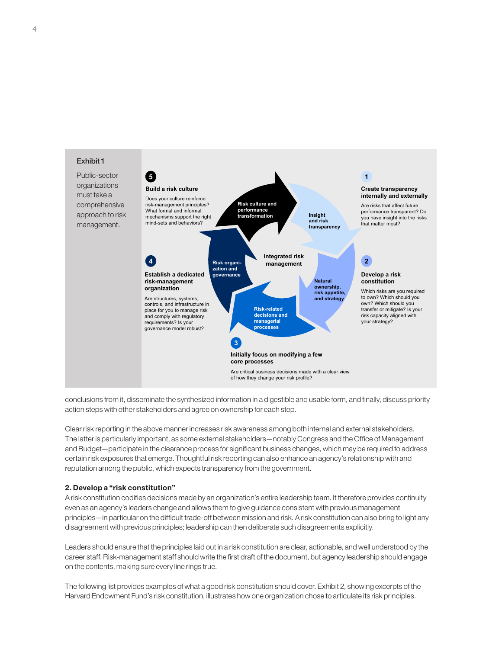

conclusions from it, disseminate the synthesized information in a digestible and usable form, and finally, discuss priority action steps with other stakeholders and agree on ownership for each step.

Clear risk reporting in the above manner increases risk awareness among both internal and external stakeholders. The latter is particularly important, as some external stakeholders—notably Congress and the Office of Management and Budget—participate in the clearance process for significant business changes, which may be required to address certain risk exposures that emerge. Thoughtful risk reporting can also enhance an agency's relationship with and reputation among the public, which expects transparency from the government.

#### 2. Develop a "risk constitution"

A risk constitution codifies decisions made by an organization's entire leadership team. It therefore provides continuity even as an agency's leaders change and allows them to give guidance consistent with previous management principles—in particular on the difficult trade-off between mission and risk. A risk constitution can also bring to light any disagreement with previous principles; leadership can then deliberate such disagreements explicitly.

Leaders should ensure that the principles laid out in a risk constitution are clear, actionable, and well understood by the career staff. Risk-management staff should write the first draft of the document, but agency leadership should engage on the contents, making sure every line rings true.

The following list provides examples of what a good risk constitution should cover. Exhibit 2, showing excerpts of the Harvard Endowment Fund's risk constitution, illustrates how one organization chose to articulate its risk principles.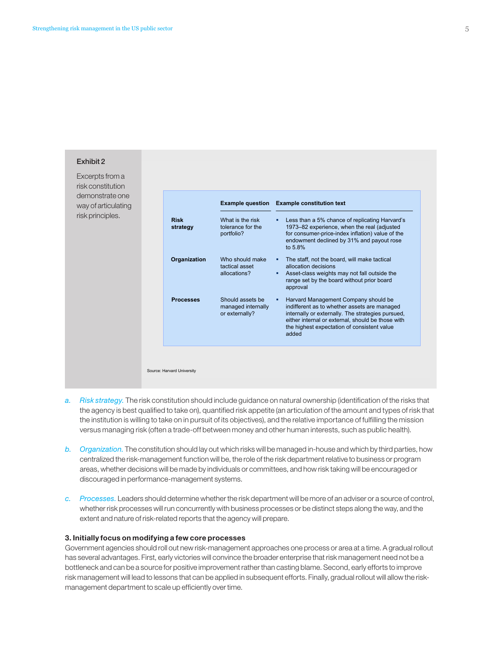

- *a. Risk strategy.* The risk constitution should include guidance on natural ownership (identification of the risks that the agency is best qualified to take on), quantified risk appetite (an articulation of the amount and types of risk that the institution is willing to take on in pursuit of its objectives), and the relative importance of fulfilling the mission versus managing risk (often a trade-off between money and other human interests, such as public health).
- *b. Organization.* The constitution should lay out which risks will be managed in-house and which by third parties, how centralized the risk-management function will be, the role of the risk department relative to business or program areas, whether decisions will be made by individuals or committees, and how risk taking will be encouraged or discouraged in performance-management systems.
- *c. Processes.* Leaders should determine whether the risk department will be more of an adviser or a source of control, whether risk processes will run concurrently with business processes or be distinct steps along the way, and the extent and nature of risk-related reports that the agency will prepare.

#### 3. Initially focus on modifying a few core processes

Government agencies should roll out new risk-management approaches one process or area at a time. A gradual rollout has several advantages. First, early victories will convince the broader enterprise that risk management need not be a bottleneck and can be a source for positive improvement rather than casting blame. Second, early efforts to improve risk management will lead to lessons that can be applied in subsequent efforts. Finally, gradual rollout will allow the riskmanagement department to scale up efficiently over time.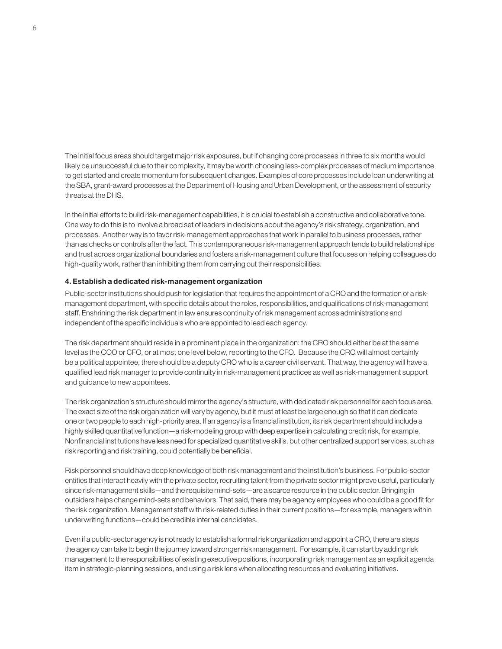The initial focus areas should target major risk exposures, but if changing core processes in three to six months would likely be unsuccessful due to their complexity, it may be worth choosing less-complex processes of medium importance to get started and create momentum for subsequent changes. Examples of core processes include loan underwriting at the SBA, grant-award processes at the Department of Housing and Urban Development, or the assessment of security threats at the DHS.

In the initial efforts to build risk-management capabilities, it is crucial to establish a constructive and collaborative tone. One way to do this is to involve a broad set of leaders in decisions about the agency's risk strategy, organization, and processes. Another way is to favor risk-management approaches that work in parallel to business processes, rather than as checks or controls after the fact. This contemporaneous risk-management approach tends to build relationships and trust across organizational boundaries and fosters a risk-management culture that focuses on helping colleagues do high-quality work, rather than inhibiting them from carrying out their responsibilities.

#### 4. Establish a dedicated risk-management organization

Public-sector institutions should push for legislation that requires the appointment of a CRO and the formation of a riskmanagement department, with specific details about the roles, responsibilities, and qualifications of risk-management staff. Enshrining the risk department in law ensures continuity of risk management across administrations and independent of the specific individuals who are appointed to lead each agency.

The risk department should reside in a prominent place in the organization: the CRO should either be at the same level as the COO or CFO, or at most one level below, reporting to the CFO. Because the CRO will almost certainly be a political appointee, there should be a deputy CRO who is a career civil servant. That way, the agency will have a qualified lead risk manager to provide continuity in risk-management practices as well as risk-management support and guidance to new appointees.

The risk organization's structure should mirror the agency's structure, with dedicated risk personnel for each focus area. The exact size of the risk organization will vary by agency, but it must at least be large enough so that it can dedicate one or two people to each high-priority area. If an agency is a financial institution, its risk department should include a highly skilled quantitative function—a risk-modeling group with deep expertise in calculating credit risk, for example. Nonfinancial institutions have less need for specialized quantitative skills, but other centralized support services, such as risk reporting and risk training, could potentially be beneficial.

Risk personnel should have deep knowledge of both risk management and the institution's business. For public-sector entities that interact heavily with the private sector, recruiting talent from the private sector might prove useful, particularly since risk-management skills—and the requisite mind-sets—are a scarce resource in the public sector. Bringing in outsiders helps change mind-sets and behaviors. That said, there may be agency employees who could be a good fit for the risk organization. Management staff with risk-related duties in their current positions—for example, managers within underwriting functions—could be credible internal candidates.

Even if a public-sector agency is not ready to establish a formal risk organization and appoint a CRO, there are steps the agency can take to begin the journey toward stronger risk management. For example, it can start by adding risk management to the responsibilities of existing executive positions, incorporating risk management as an explicit agenda item in strategic-planning sessions, and using a risk lens when allocating resources and evaluating initiatives.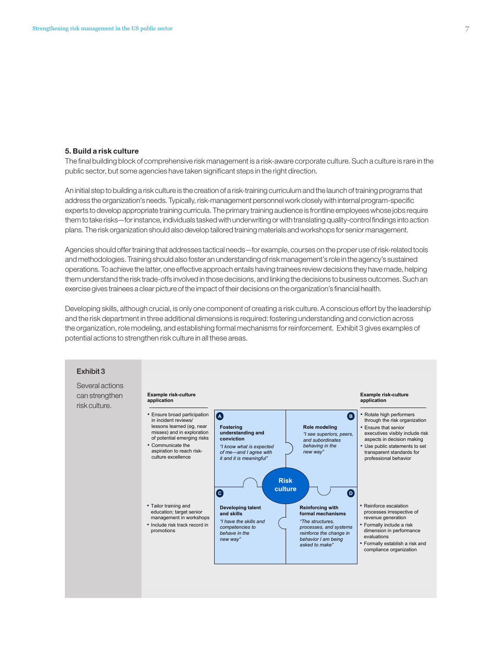#### 5. Build a risk culture

The final building block of comprehensive risk management is a risk-aware corporate culture. Such a culture is rare in the public sector, but some agencies have taken significant steps in the right direction.

An initial step to building a risk culture is the creation of a risk-training curriculum and the launch of training programs that address the organization's needs. Typically, risk-management personnel work closely with internal program-specific experts to develop appropriate training curricula. The primary training audience is frontline employees whose jobs require them to take risks—for instance, individuals tasked with underwriting or with translating quality-control findings into action plans. The risk organization should also develop tailored training materials and workshops for senior management.

Agencies should offer training that addresses tactical needs—for example, courses on the proper use of risk-related tools and methodologies. Training should also foster an understanding of risk management's role in the agency's sustained operations. To achieve the latter, one effective approach entails having trainees review decisions they have made, helping them understand the risk trade-offs involved in those decisions, and linking the decisions to business outcomes. Such an exercise gives trainees a clear picture of the impact of their decisions on the organization's financial health.

Developing skills, although crucial, is only one component of creating a risk culture. A conscious effort by the leadership and the risk department in three additional dimensions is required: fostering understanding and conviction across the organization, role modeling, and establishing formal mechanisms for reinforcement. Exhibit 3 gives examples of potential actions to strengthen risk culture in all these areas.

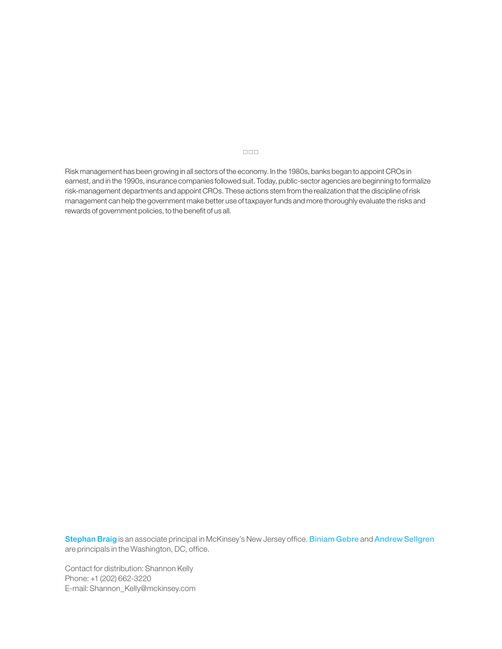Risk management has been growing in all sectors of the economy. In the 1980s, banks began to appoint CROs in earnest, and in the 1990s, insurance companies followed suit. Today, public-sector agencies are beginning to formalize risk-management departments and appoint CROs. These actions stem from the realization that the discipline of risk management can help the government make better use of taxpayer funds and more thoroughly evaluate the risks and rewards of government policies, to the benefit of us all.

Stephan Braig is an associate principal in McKinsey's New Jersey office. Biniam Gebre and Andrew Sellgren are principals in the Washington, DC, office.

Contact for distribution: Shannon Kelly Phone: +1 (202) 662-3220 E-mail: Shannon\_Kelly@mckinsey.com

#### $\Box \Box \Box$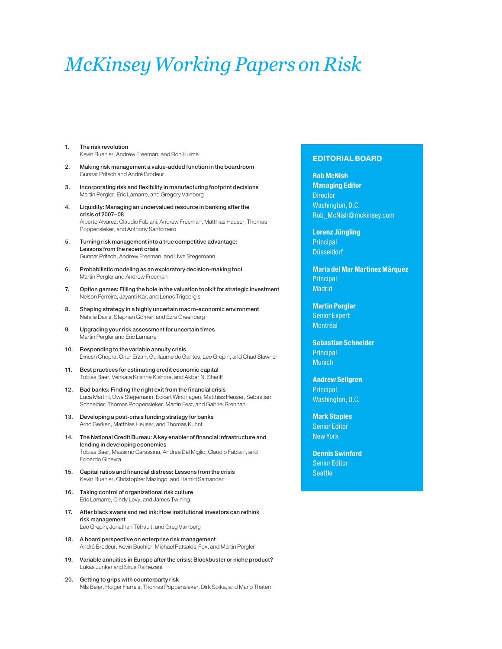## *McKinsey Working Papers on Risk*

- 1. The risk revolution Kevin Buehler, Andrew Freeman, and Ron Hulme
- 2. Making risk management a value-added function in the boardroom Gunnar Pritsch and André Brodeur
- 3. Incorporating risk and flexibility in manufacturing footprint decisions Martin Pergler, Eric Lamarre, and Gregory Vainberg
- 4. Liquidity: Managing an undervalued resource in banking after the crisis of 2007–08 Alberto Alvarez, Claudio Fabiani, Andrew Freeman, Matthias Hauser, Thomas Poppensieker, and Anthony Santomero
- 5. Turning risk management into a true competitive advantage: Lessons from the recent crisis Gunnar Pritsch, Andrew Freeman, and Uwe Stegemann
- 6. Probabilistic modeling as an exploratory decision-making tool Martin Pergler and Andrew Freeman
- 7. Option games: Filling the hole in the valuation toolkit for strategic investment Nelson Ferreira, Jayanti Kar, and Lenos Trigeorgis
- 8. Shaping strategy in a highly uncertain macro-economic environment Natalie Davis, Stephan Görner, and Ezra Greenberg
- 9. Upgrading your risk assessment for uncertain times Martin Pergler and Eric Lamarre
- 10. Responding to the variable annuity crisis Dinesh Chopra, Onur Erzan, Guillaume de Gantes, Leo Grepin, and Chad Slawner
- 11. Best practices for estimating credit economic capital Tobias Baer, Venkata Krishna Kishore, and Akbar N. Sheriff
- 12. Bad banks: Finding the right exit from the financial crisis Luca Martini, Uwe Stegemann, Eckart Windhagen, Matthias Heuser, Sebastian Schneider, Thomas Poppensieker, Martin Fest, and Gabriel Brennan
- 13. Developing a post-crisis funding strategy for banks Arno Gerken, Matthias Heuser, and Thomas Kuhnt
- 14. The National Credit Bureau: A key enabler of financial infrastructure and lending in developing economies Tobias Baer, Massimo Carassinu, Andrea Del Miglio, Claudio Fabiani, and Edoardo Ginevra
- 15. Capital ratios and financial distress: Lessons from the crisis Kevin Buehler, Christopher Mazingo, and Hamid Samandari
- 16. Taking control of organizational risk culture Eric Lamarre, Cindy Levy, and James Twining
- 17. After black swans and red ink: How institutional investors can rethink risk management Leo Grepin, Jonathan Tétrault, and Greg Vainberg
- 18. A board perspective on enterprise risk management André Brodeur, Kevin Buehler, Michael Patsalos-Fox, and Martin Pergler
- 19. Variable annuities in Europe after the crisis: Blockbuster or niche product? Lukas Junker and Sirus Ramezani
- 20. Getting to grips with counterparty risk Nils Beier, Holger Harreis, Thomas Poppensieker, Dirk Sojka, and Mario Thaten

#### EDITORIAL BOARD

Rob McNish Managing Editor **Director** Washington, D.C. Rob\_McNish@mckinsey.com

Lorenz Jüngling **Principal** Düsseldorf

Maria del Mar Martinez Márquez **Principal Madrid** 

Martin Pergler Senior Expert Montréal

Sebastian Schneider **Principal Munich** 

Andrew Sellgren **Principal** Washington, D.C.

Mark Staples Senior Editor New York

Dennis Swinford Senior Editor **Seattle**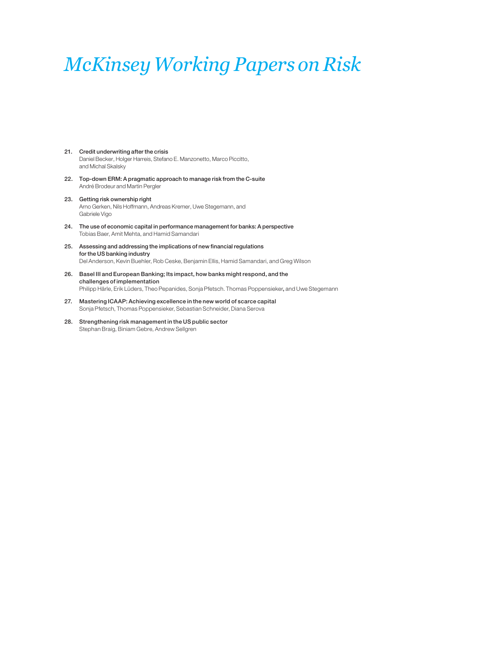### *McKinsey Working Papers on Risk*

- 21. Credit underwriting after the crisis Daniel Becker, Holger Harreis, Stefano E. Manzonetto, Marco Piccitto, and Michal Skalsky
- 22. Top-down ERM: A pragmatic approach to manage risk from the C-suite André Brodeur and Martin Pergler
- 23. Getting risk ownership right Arno Gerken, Nils Hoffmann, Andreas Kremer, Uwe Stegemann, and Gabriele Vigo
- 24. The use of economic capital in performance management for banks: A perspective Tobias Baer, Amit Mehta, and Hamid Samandari
- 25. Assessing and addressing the implications of new financial regulations for the US banking industry Del Anderson, Kevin Buehler, Rob Ceske, Benjamin Ellis, Hamid Samandari, and Greg Wilson
- 26. Basel III and European Banking; Its impact, how banks might respond, and the challenges of implementation Philipp Härle, Erik Lüders, Theo Pepanides, Sonja Pfetsch. Thomas Poppensieker, and Uwe Stegemann
- 27. Mastering ICAAP: Achieving excellence in the new world of scarce capital Sonja Pfetsch, Thomas Poppensieker, Sebastian Schneider, Diana Serova
- 28. Strengthening risk management in the US public sector Stephan Braig, Biniam Gebre, Andrew Sellgren